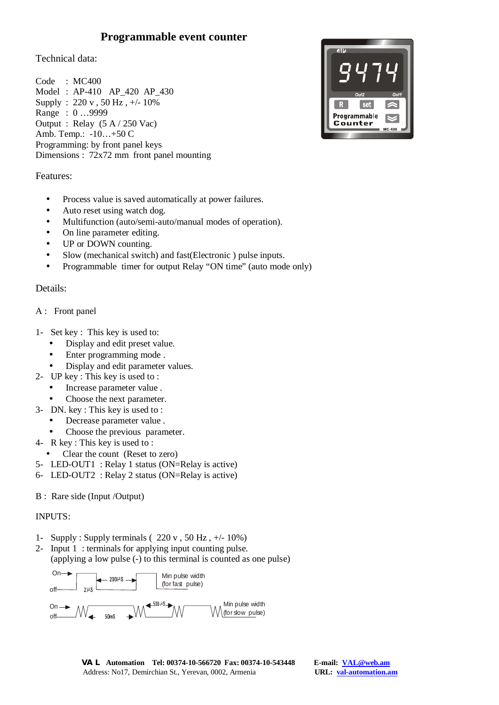# **Programmable event counter**

Technical data:

Code : MC400 Model : AP-410 AP\_420 AP\_430 Supply : 220 v , 50 Hz , +/- 10% Range : 0 …9999 Output : Relay (5 A / 250 Vac) Amb. Temp.: -10…+50 C Programming: by front panel keys Dimensions : 72x72 mm front panel mounting



## Features:

- Process value is saved automatically at power failures.
- Auto reset using watch dog.
- Multifunction (auto/semi-auto/manual modes of operation).
- On line parameter editing.
- UP or DOWN counting.
- Slow (mechanical switch) and fast (Electronic ) pulse inputs.
- Programmable timer for output Relay "ON time" (auto mode only)

# Details:

### A : Front panel

- 1- Set key : This key is used to:
	- Display and edit preset value.
	- Enter programming mode.
	- Display and edit parameter values.
- 2- UP key : This key is used to :
	- Increase parameter value .
	- Choose the next parameter.
- 3- DN. key : This key is used to :
	- Decrease parameter value .
	- Choose the previous parameter.
- 4- R key : This key is used to :
- Clear the count (Reset to zero)
- 5- LED-OUT1 : Relay 1 status (ON=Relay is active)
- 6- LED-OUT2 : Relay 2 status (ON=Relay is active)
- B : Rare side (Input /Output)

#### INPUTS:

- 1- Supply : Supply terminals ( $220 \text{ y}$ ,  $50 \text{ Hz}$ ,  $\pm/-10\%$ )
- 2- Input 1 : terminals for applying input counting pulse. (applying a low pulse (-) to this terminal is counted as one pulse)

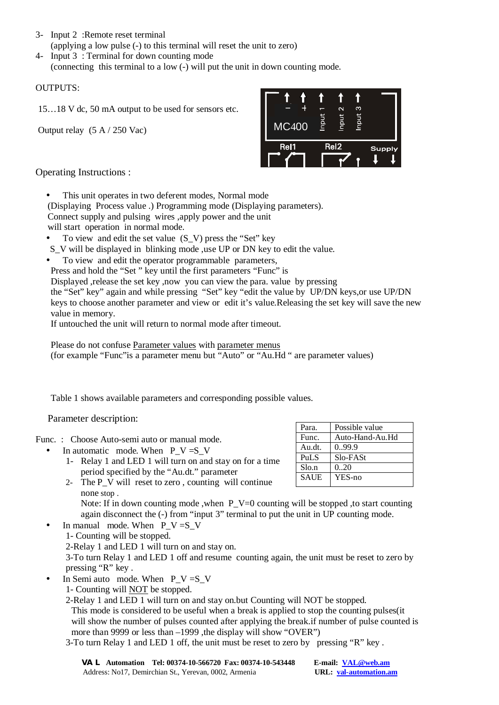- 3- Input 2 :Remote reset terminal (applying a low pulse (-) to this terminal will reset the unit to zero)
- 4- Input 3 : Terminal for down counting mode (connecting this terminal to a low (-) will put the unit in down counting mode.

## OUTPUTS:

15…18 V dc, 50 mA output to be used for sensors etc.

Output relay (5 A / 250 Vac)



Operating Instructions :

- This unit operates in two deferent modes, Normal mode
- (Displaying Process value .) Programming mode (Displaying parameters).
- Connect supply and pulsing wires ,apply power and the unit
- will start operation in normal mode.
- To view and edit the set value  $(S_V)$  press the "Set" key
- S V will be displayed in blinking mode , use UP or DN key to edit the value.
- To view and edit the operator programmable parameters,

Press and hold the "Set " key until the first parameters "Func" is

Displayed ,release the set key ,now you can view the para. value by pressing

the "Set" key" again and while pressing "Set" key "edit the value by UP/DN keys,or use UP/DN keys to choose another parameter and view or edit it's value.Releasing the set key will save the new value in memory.

If untouched the unit will return to normal mode after timeout.

Please do not confuse Parameter values with parameter menus (for example "Func"is a parameter menu but "Auto" or "Au.Hd " are parameter values)

Table 1 shows available parameters and corresponding possible values.

Parameter description:

Func. : Choose Auto-semi auto or manual mode.

- In automatic mode. When  $P V = S V$ 
	- 1- Relay 1 and LED 1 will turn on and stay on for a time period specified by the "Au.dt." parameter
	- 2- The P V will reset to zero, counting will continue none stop .

Note: If in down counting mode ,when P\_V=0 counting will be stopped , to start counting again disconnect the (-) from "input 3" terminal to put the unit in UP counting mode.

- In manual mode. When  $P_V = S_V$
- 1- Counting will be stopped.

2-Relay 1 and LED 1 will turn on and stay on.

3-To turn Relay 1 and LED 1 off and resume counting again, the unit must be reset to zero by pressing "R" key .

- In Semi auto mode. When  $P_V = S_V$ 
	- 1- Counting will NOT be stopped.
	- 2-Relay 1 and LED 1 will turn on and stay on.but Counting will NOT be stopped. This mode is considered to be useful when a break is applied to stop the counting pulses(it will show the number of pulses counted after applying the break.if number of pulse counted is more than 9999 or less than –1999, the display will show "OVER")
	- 3-To turn Relay 1 and LED 1 off, the unit must be reset to zero by pressing "R" key .

Para. Possible value Func. Auto-Hand-Au.Hd Au.dt. 0..99.9 PuLS Slo-FASt  $S$ lo.n  $\big|$  0..20 SAUE YES-no